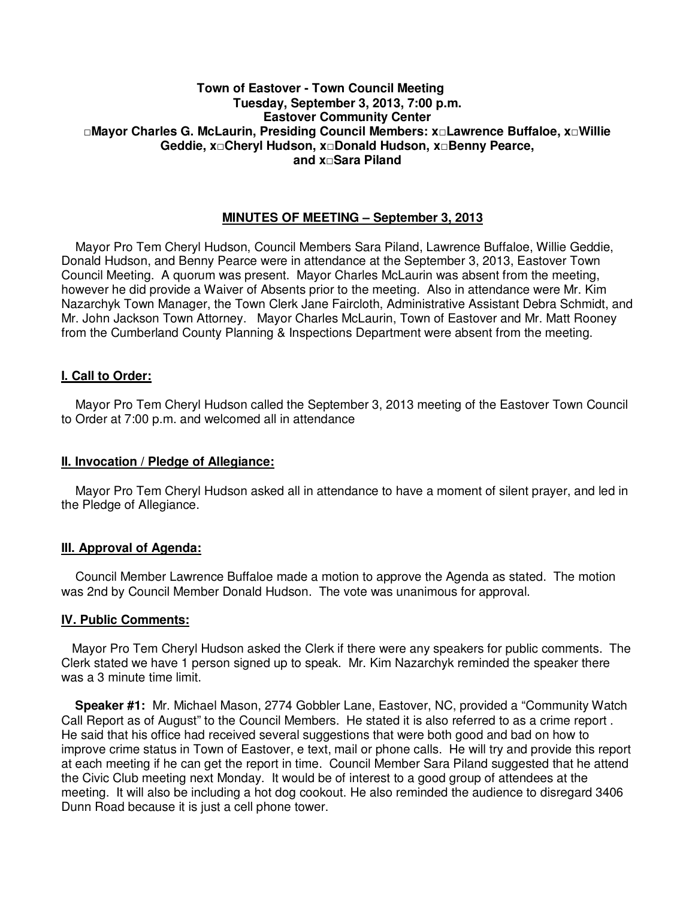## **Town of Eastover - Town Council Meeting Tuesday, September 3, 2013, 7:00 p.m. Eastover Community Center □Mayor Charles G. McLaurin, Presiding Council Members: x□Lawrence Buffaloe, x□Willie Geddie, x□Cheryl Hudson, x□Donald Hudson, x□Benny Pearce, and x□Sara Piland**

# **MINUTES OF MEETING – September 3, 2013**

 Mayor Pro Tem Cheryl Hudson, Council Members Sara Piland, Lawrence Buffaloe, Willie Geddie, Donald Hudson, and Benny Pearce were in attendance at the September 3, 2013, Eastover Town Council Meeting. A quorum was present. Mayor Charles McLaurin was absent from the meeting, however he did provide a Waiver of Absents prior to the meeting. Also in attendance were Mr. Kim Nazarchyk Town Manager, the Town Clerk Jane Faircloth, Administrative Assistant Debra Schmidt, and Mr. John Jackson Town Attorney. Mayor Charles McLaurin, Town of Eastover and Mr. Matt Rooney from the Cumberland County Planning & Inspections Department were absent from the meeting.

## **I. Call to Order:**

 Mayor Pro Tem Cheryl Hudson called the September 3, 2013 meeting of the Eastover Town Council to Order at 7:00 p.m. and welcomed all in attendance

#### **II. Invocation / Pledge of Allegiance:**

 Mayor Pro Tem Cheryl Hudson asked all in attendance to have a moment of silent prayer, and led in the Pledge of Allegiance.

#### **III. Approval of Agenda:**

 Council Member Lawrence Buffaloe made a motion to approve the Agenda as stated. The motion was 2nd by Council Member Donald Hudson. The vote was unanimous for approval.

#### **IV. Public Comments:**

 Mayor Pro Tem Cheryl Hudson asked the Clerk if there were any speakers for public comments. The Clerk stated we have 1 person signed up to speak. Mr. Kim Nazarchyk reminded the speaker there was a 3 minute time limit.

 **Speaker #1:** Mr. Michael Mason, 2774 Gobbler Lane, Eastover, NC, provided a "Community Watch Call Report as of August" to the Council Members. He stated it is also referred to as a crime report . He said that his office had received several suggestions that were both good and bad on how to improve crime status in Town of Eastover, e text, mail or phone calls. He will try and provide this report at each meeting if he can get the report in time. Council Member Sara Piland suggested that he attend the Civic Club meeting next Monday. It would be of interest to a good group of attendees at the meeting. It will also be including a hot dog cookout. He also reminded the audience to disregard 3406 Dunn Road because it is just a cell phone tower.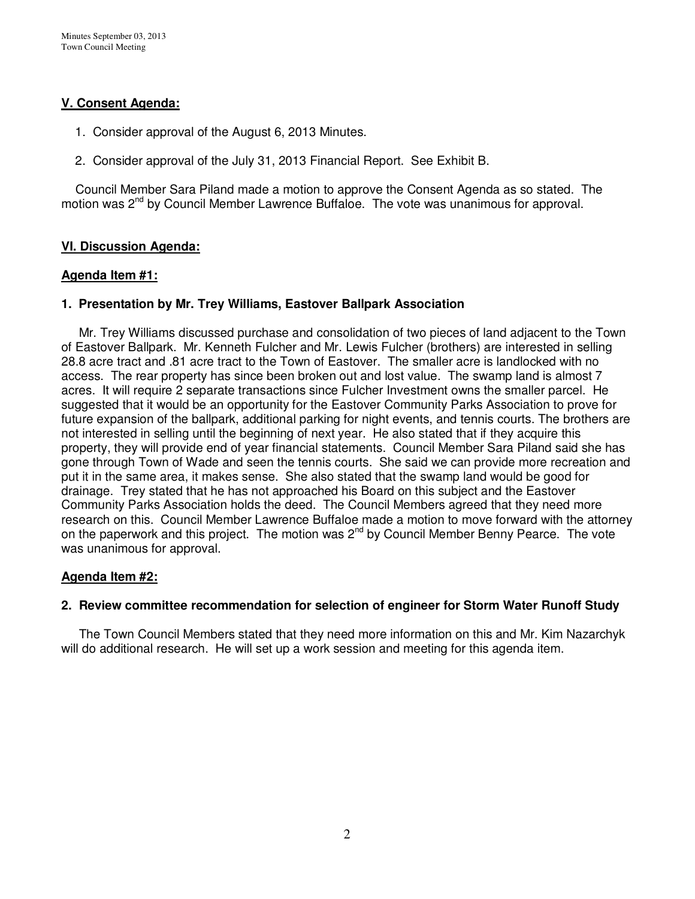# **V. Consent Agenda:**

- 1. Consider approval of the August 6, 2013 Minutes.
- 2. Consider approval of the July 31, 2013 Financial Report. See Exhibit B.

 Council Member Sara Piland made a motion to approve the Consent Agenda as so stated. The motion was 2<sup>nd</sup> by Council Member Lawrence Buffaloe. The vote was unanimous for approval.

# **VI. Discussion Agenda:**

## **Agenda Item #1:**

# **1. Presentation by Mr. Trey Williams, Eastover Ballpark Association**

Mr. Trey Williams discussed purchase and consolidation of two pieces of land adjacent to the Town of Eastover Ballpark. Mr. Kenneth Fulcher and Mr. Lewis Fulcher (brothers) are interested in selling 28.8 acre tract and .81 acre tract to the Town of Eastover. The smaller acre is landlocked with no access. The rear property has since been broken out and lost value. The swamp land is almost 7 acres. It will require 2 separate transactions since Fulcher Investment owns the smaller parcel. He suggested that it would be an opportunity for the Eastover Community Parks Association to prove for future expansion of the ballpark, additional parking for night events, and tennis courts. The brothers are not interested in selling until the beginning of next year. He also stated that if they acquire this property, they will provide end of year financial statements. Council Member Sara Piland said she has gone through Town of Wade and seen the tennis courts. She said we can provide more recreation and put it in the same area, it makes sense. She also stated that the swamp land would be good for drainage. Trey stated that he has not approached his Board on this subject and the Eastover Community Parks Association holds the deed. The Council Members agreed that they need more research on this. Council Member Lawrence Buffaloe made a motion to move forward with the attorney on the paperwork and this project. The motion was  $2^{nd}$  by Council Member Benny Pearce. The vote was unanimous for approval.

# **Agenda Item #2:**

#### **2. Review committee recommendation for selection of engineer for Storm Water Runoff Study**

 The Town Council Members stated that they need more information on this and Mr. Kim Nazarchyk will do additional research. He will set up a work session and meeting for this agenda item.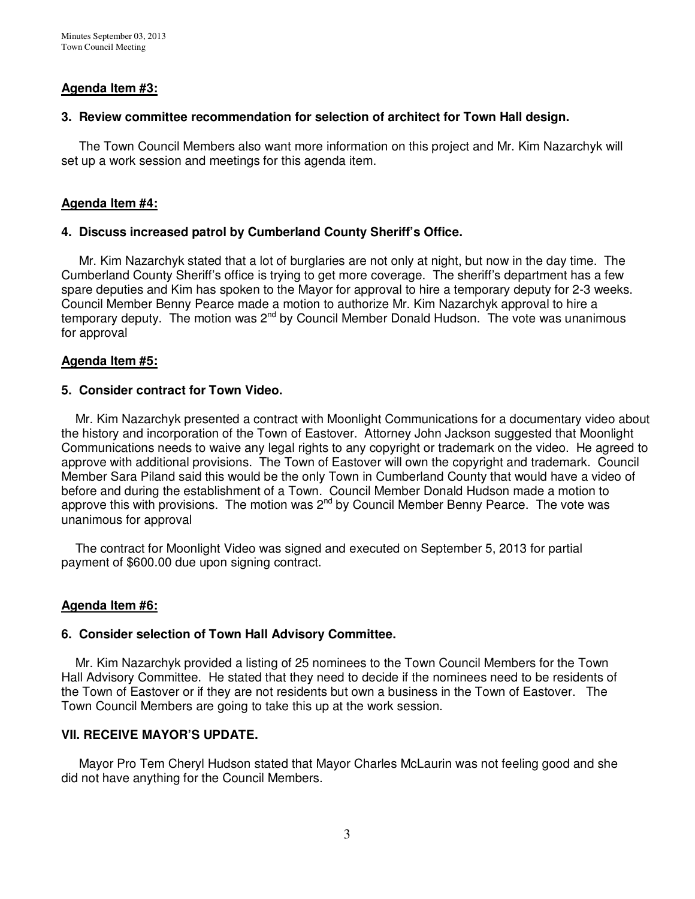# **Agenda Item #3:**

## **3. Review committee recommendation for selection of architect for Town Hall design.**

 The Town Council Members also want more information on this project and Mr. Kim Nazarchyk will set up a work session and meetings for this agenda item.

## **Agenda Item #4:**

## **4. Discuss increased patrol by Cumberland County Sheriff's Office.**

Mr. Kim Nazarchyk stated that a lot of burglaries are not only at night, but now in the day time. The Cumberland County Sheriff's office is trying to get more coverage. The sheriff's department has a few spare deputies and Kim has spoken to the Mayor for approval to hire a temporary deputy for 2-3 weeks. Council Member Benny Pearce made a motion to authorize Mr. Kim Nazarchyk approval to hire a temporary deputy. The motion was  $2^{nd}$  by Council Member Donald Hudson. The vote was unanimous for approval

## **Agenda Item #5:**

## **5. Consider contract for Town Video.**

 Mr. Kim Nazarchyk presented a contract with Moonlight Communications for a documentary video about the history and incorporation of the Town of Eastover. Attorney John Jackson suggested that Moonlight Communications needs to waive any legal rights to any copyright or trademark on the video. He agreed to approve with additional provisions. The Town of Eastover will own the copyright and trademark. Council Member Sara Piland said this would be the only Town in Cumberland County that would have a video of before and during the establishment of a Town. Council Member Donald Hudson made a motion to approve this with provisions. The motion was  $2^{nd}$  by Council Member Benny Pearce. The vote was unanimous for approval

 The contract for Moonlight Video was signed and executed on September 5, 2013 for partial payment of \$600.00 due upon signing contract.

#### **Agenda Item #6:**

#### **6. Consider selection of Town Hall Advisory Committee.**

 Mr. Kim Nazarchyk provided a listing of 25 nominees to the Town Council Members for the Town Hall Advisory Committee. He stated that they need to decide if the nominees need to be residents of the Town of Eastover or if they are not residents but own a business in the Town of Eastover. The Town Council Members are going to take this up at the work session.

#### **VII. RECEIVE MAYOR'S UPDATE.**

Mayor Pro Tem Cheryl Hudson stated that Mayor Charles McLaurin was not feeling good and she did not have anything for the Council Members.